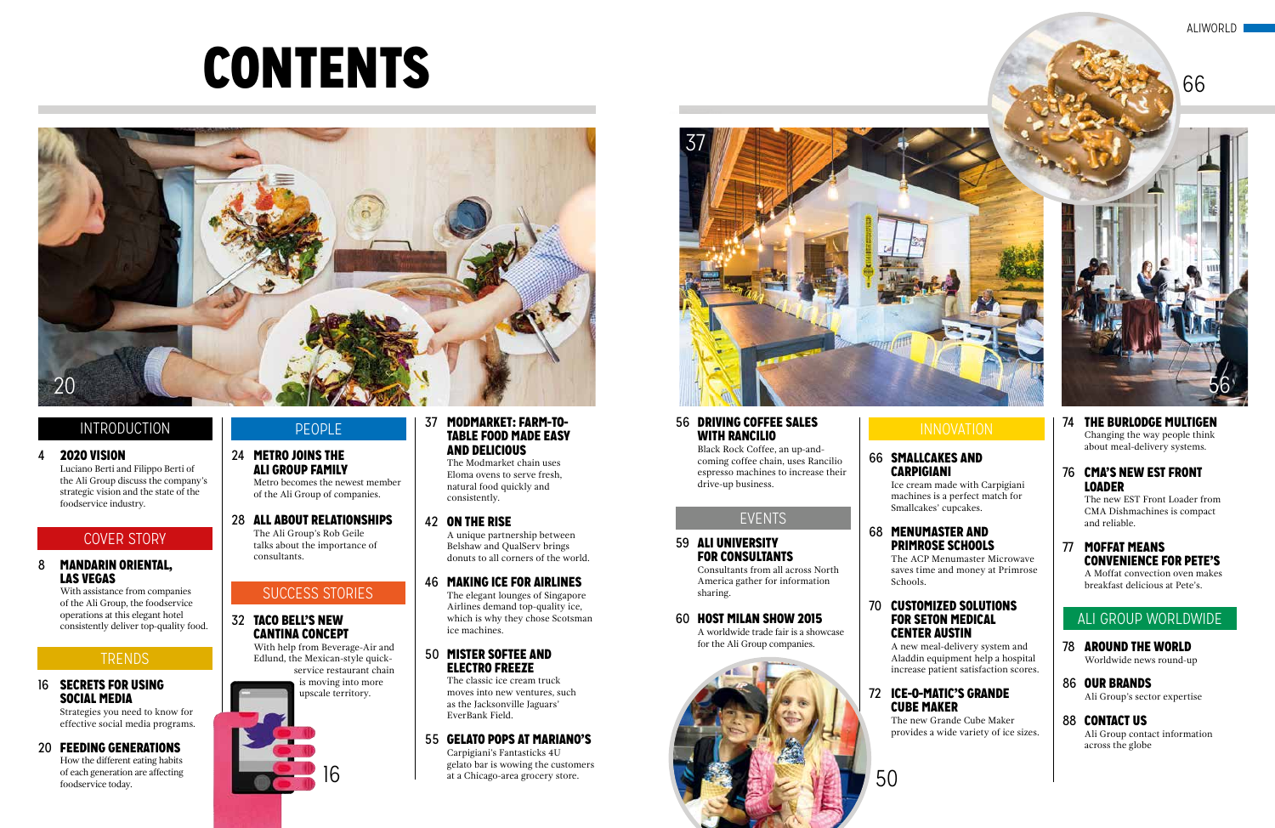# CONTENTS

#### 4 2020 VISION

Luciano Berti and Filippo Berti of the Ali Group discuss the company's strategic vision and the state of the foodservice industry.

#### 8 MANDARIN ORIENTAL, LAS VEGAS

With assistance from companies of the Ali Group, the foodservice operations at this elegant hotel consistently deliver top-quality food.

#### **TRENDS**

#### 16 SECRETS FOR USING SOCIAL MEDIA

Strategies you need to know for effective social media programs.

#### 20 FEEDING GENERATIONS

How the different eating habits of each generation are affecting foodservice today.

#### INTRODUCTION

#### PEOPLE

#### COVER STORY

#### 24 METRO JOINS THE ALI GROUP FAMILY

Metro becomes the newest member of the Ali Group of companies.

28 ALL ABOUT RELATIONSHIPS The Ali Group's Rob Geile talks about the importance of consultants.

#### 32 TACO BELL'S NEW CANTINA CONCEPT

With help from Beverage-Air and Edlund, the Mexican-style quickservice restaurant chain is moving into more upscale territory.

#### 37 MODMARKET: FARM-TO-TABLE FOOD MADE EASY AND DELICIOUS

The Modmarket chain uses Eloma ovens to serve fresh, natural food quickly and consistently.

#### 42 ON THE RISE

A unique partnership between Belshaw and QualServ brings donuts to all corners of the world.

#### 46 MAKING ICE FOR AIRLINES

The elegant lounges of Singapore Airlines demand top-quality ice, which is why they chose Scotsman ice machines.

#### 50 MISTER SOFTEE AND ELECTRO FREEZE

The classic ice cream truck moves into new ventures, such as the Jacksonville Jaguars' EverBank Field.

#### 55 GELATO POPS AT MARIANO'S

Carpigiani's Fantasticks 4U gelato bar is wowing the customers at a Chicago-area grocery store.



# 16

#### SUCCESS STORIES

#### EVENTS

#### ALI GROUP WORLDWIDE

#### 66 SMALLCAKES AND CARPIGIANI

Ice cream made with Carpigiani machines is a perfect match for Smallcakes' cupcakes.

#### 68 MENUMASTER AND PRIMROSE SCHOOLS

The ACP Menumaster Microwave saves time and money at Primrose

Schools.

#### 70 CUSTOMIZED SOLUTIONS FOR SETON MEDICAL CENTER AUSTIN

A new meal-delivery system and Aladdin equipment help a hospital increase patient satisfaction scores.

#### 72 ICE-O-MATIC'S GRANDE CUBE MAKER

The new Grande Cube Maker provides a wide variety of ice sizes.

# 56



50

#### 74 THE BURLODGE MULTIGEN Changing the way people think about meal-delivery systems.

#### 76 CMA'S NEW EST FRONT LOADER

The new EST Front Loader from CMA Dishmachines is compact and reliable.

#### 77 MOFFAT MEANS CONVENIENCE FOR PETE'S

A Moffat convection oven makes breakfast delicious at Pete's.

#### 78 AROUND THE WORLD Worldwide news round-up

#### 86 OUR BRANDS

Ali Group's sector expertise

#### 88 CONTACT US

Ali Group contact information across the globe

#### ALIWORLD

#### 56 DRIVING COFFEE SALES WITH RANCILIO

Black Rock Coffee, an up-andcoming coffee chain, uses Rancilio espresso machines to increase their drive-up business.

#### 59 ALI UNIVERSITY FOR CONSULTANTS

Consultants from all across North America gather for information sharing.

#### 60 HOST MILAN SHOW 2015

A worldwide trade fair is a showcase for the Ali Group companies.





#### INNOVATION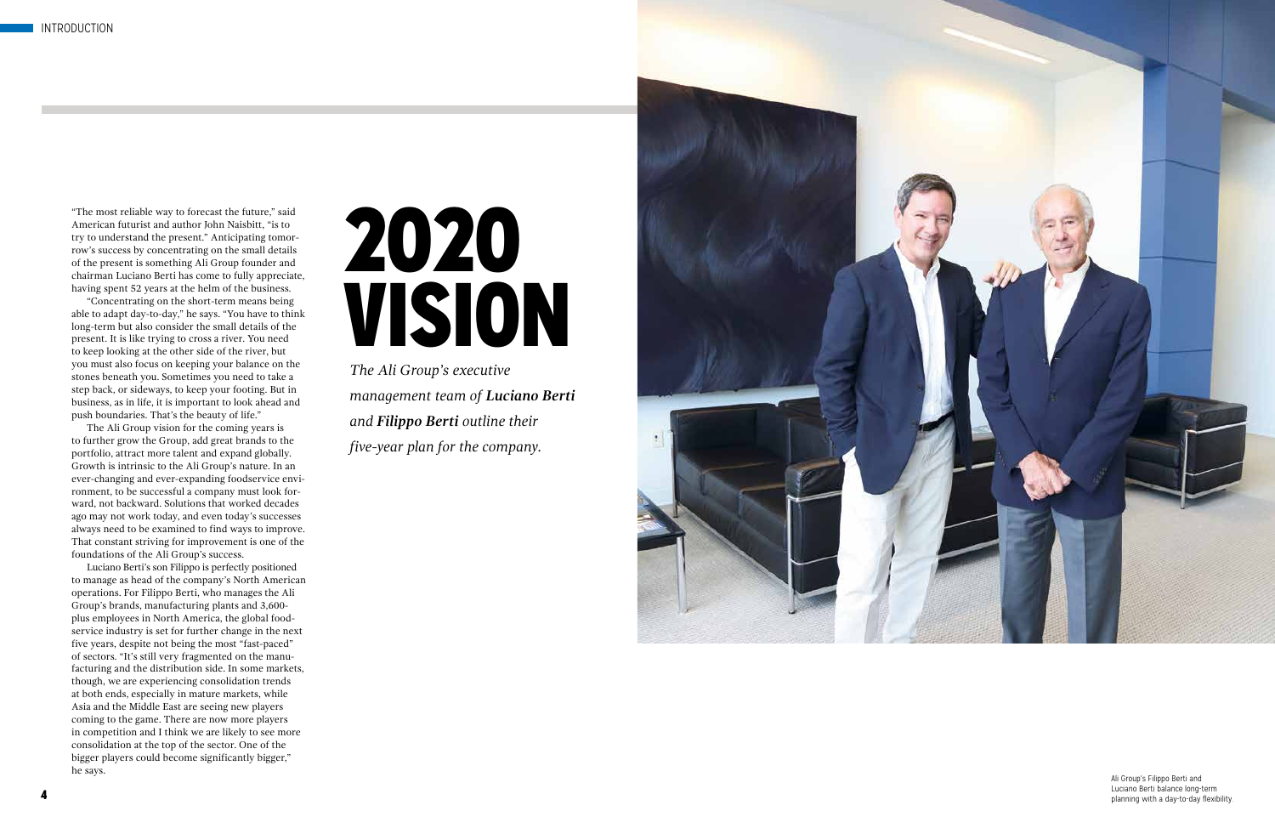# 2020 VISION

*The Ali Group's executive management team of Luciano Berti and Filippo Berti outline their five-year plan for the company.*

"The most reliable way to forecast the future," said American futurist and author John Naisbitt, "is to try to understand the present." Anticipating tomor row's success by concentrating on the small details of the present is something Ali Group founder and chairman Luciano Berti has come to fully appreciate, having spent 52 years at the helm of the business.

"Concentrating on the short-term means being able to adapt day-to-day," he says. "You have to think long-term but also consider the small details of the present. It is like trying to cross a river. You need to keep looking at the other side of the river, but you must also focus on keeping your balance on the stones beneath you. Sometimes you need to take a step back, or sideways, to keep your footing. But in business, as in life, it is important to look ahead and push boundaries. That's the beauty of life."

> Luciano berti balance long term<br>planning with a day-to-day flexibility. Luciano Berti balance long-term

The Ali Group vision for the coming years is to further grow the Group, add great brands to the portfolio, attract more talent and expand globally. Growth is intrinsic to the Ali Group's nature. In an ever-changing and ever-expanding foodservice envi ronment, to be successful a company must look for ward, not backward. Solutions that worked decades ago may not work today, and even today's successes always need to be examined to find ways to improve. That constant striving for improvement is one of the foundations of the Ali Group's success.

Luciano Berti's son Filippo is perfectly positioned to manage as head of the company's North American operations. For Filippo Berti, who manages the Ali Group's brands, manufacturing plants and 3,600 plus employees in North America, the global food service industry is set for further change in the next five years, despite not being the most "fast-paced" of sectors. "It's still very fragmented on the manu facturing and the distribution side. In some markets, though, we are experiencing consolidation trends at both ends, especially in mature markets, while Asia and the Middle East are seeing new players coming to the game. There are now more players in competition and I think we are likely to see more consolidation at the top of the sector. One of the bigger players could become significantly bigger," he says. Ali Group's Filippo Berti and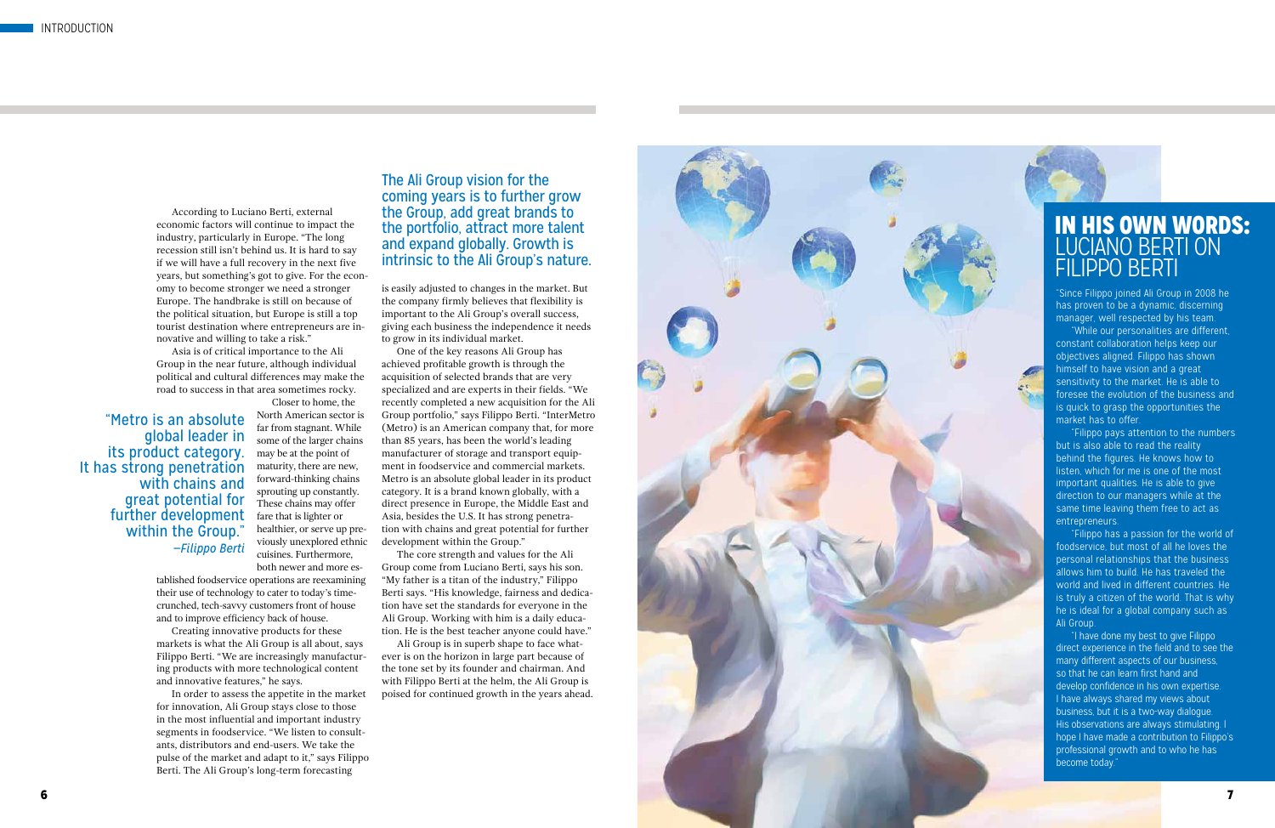7

## IN HIS OWN WORDS: LUCIANO BERTI ON FILIPPO BERTI

#### The Ali Group vision for the coming years is to further grow the Group, add great brands to the portfolio, attract more talent and expand globally. Growth is intrinsic to the Ali Group's nature.

"Metro is an absolute global leader in its product category. It has strong penetration with chains and great potential for further development within the Group." *—Filippo Berti*

According to Luciano Berti, external economic factors will continue to impact the industry, particularly in Europe. "The long recession still isn't behind us. It is hard to say if we will have a full recovery in the next five years, but something's got to give. For the econ omy to become stronger we need a stronger Europe. The handbrake is still on because of the political situation, but Europe is still a top tourist destination where entrepreneurs are in novative and willing to take a risk."

Asia is of critical importance to the Ali Group in the near future, although individual political and cultural differences may make the road to success in that area sometimes rocky.

Closer to home, the North American sector is far from stagnant. While some of the larger chains may be at the point of maturity, there are new, forward-thinking chains sprouting up constantly. These chains may offer fare that is lighter or healthier, or serve up pre viously unexplored ethnic cuisines. Furthermore, both newer and more es -

tablished foodservice operations are reexamining their use of technology to cater to today's timecrunched, tech-savvy customers front of house and to improve efficiency back of house.

Creating innovative products for these markets is what the Ali Group is all about, says Filippo Berti. "We are increasingly manufactur ing products with more technological content and innovative features," he says.

In order to assess the appetite in the market for innovation, Ali Group stays close to those in the most influential and important industry segments in foodservice. "We listen to consult ants, distributors and end-users. We take the pulse of the market and adapt to it," says Filippo Berti. The Ali Group's long-term forecasting

"Since Filippo joined Ali Group in 2008 he has proven to be a dynamic, discerning manager, well respected by his team.

"While our personalities are different, constant collaboration helps keep our objectives aligned. Filippo has shown himself to have vision and a great sensitivity to the market. He is able to foresee the evolution of the business and is quick to grasp the opportunities the market has to offer.

"Filippo pays attention to the numbers but is also able to read the reality behind the figures. He knows how to listen, which for me is one of the most important qualities. He is able to give direction to our managers while at the same time leaving them free to act as entrepreneurs.

"Filippo has a passion for the world of foodservice, but most of all he loves the personal relationships that the business allows him to build. He has traveled the world and lived in different countries. He is truly a citizen of the world. That is why he is ideal for a global company such as Ali Group.

"I have done my best to give Filippo direct experience in the field and to see the many different aspects of our business, so that he can learn first hand and develop confidence in his own expertise. I have always shared my views about business, but it is a two-way dialogue. His observations are always stimulating. I hope I have made a contribution to Filippo's professional growth and to who he has become today."

is easily adjusted to changes in the market. But the company firmly believes that flexibility is important to the Ali Group's overall success, giving each business the independence it needs to grow in its individual market.

One of the key reasons Ali Group has achieved profitable growth is through the acquisition of selected brands that are very specialized and are experts in their fields. "We recently completed a new acquisition for the Ali Group portfolio," says Filippo Berti. "InterMetro (Metro) is an American company that, for more than 85 years, has been the world's leading manufacturer of storage and transport equip ment in foodservice and commercial markets. Metro is an absolute global leader in its product category. It is a brand known globally, with a direct presence in Europe, the Middle East and Asia, besides the U.S. It has strong penetra tion with chains and great potential for further development within the Group."

The core strength and values for the Ali Group come from Luciano Berti, says his son. "My father is a titan of the industry," Filippo Berti says. "His knowledge, fairness and dedica tion have set the standards for everyone in the Ali Group. Working with him is a daily educa tion. He is the best teacher anyone could have."

Ali Group is in superb shape to face what ever is on the horizon in large part because of the tone set by its founder and chairman. And with Filippo Berti at the helm, the Ali Group is poised for continued growth in the years ahead.

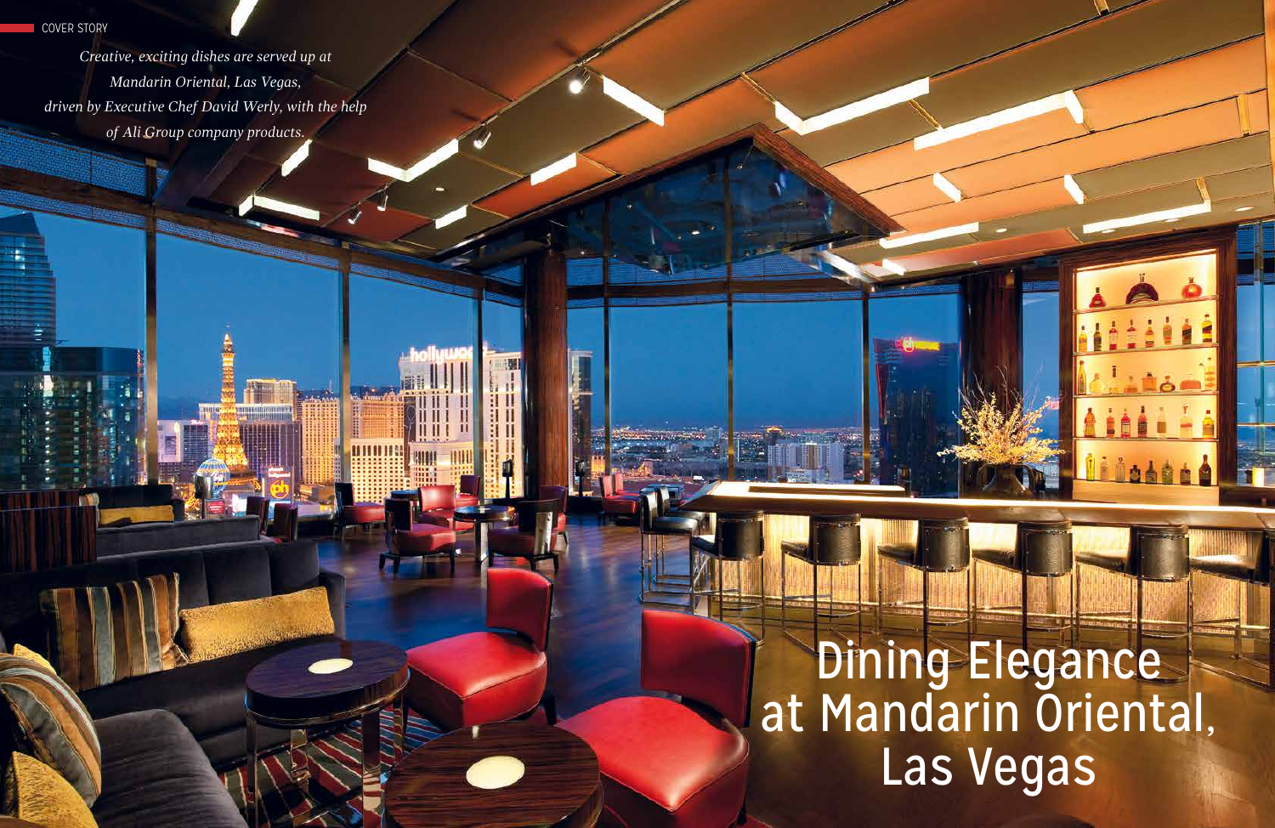# en de la companya de la companya de la companya de la companya de la companya de la companya de la companya de Dining Elegance at Mandarin Oriental, Las Vegas



*Creative, exciting dishes are served up at Mandarin Oriental, Las Vegas, driven by Executive Chef David Werly, with the help of Ali Group company products.*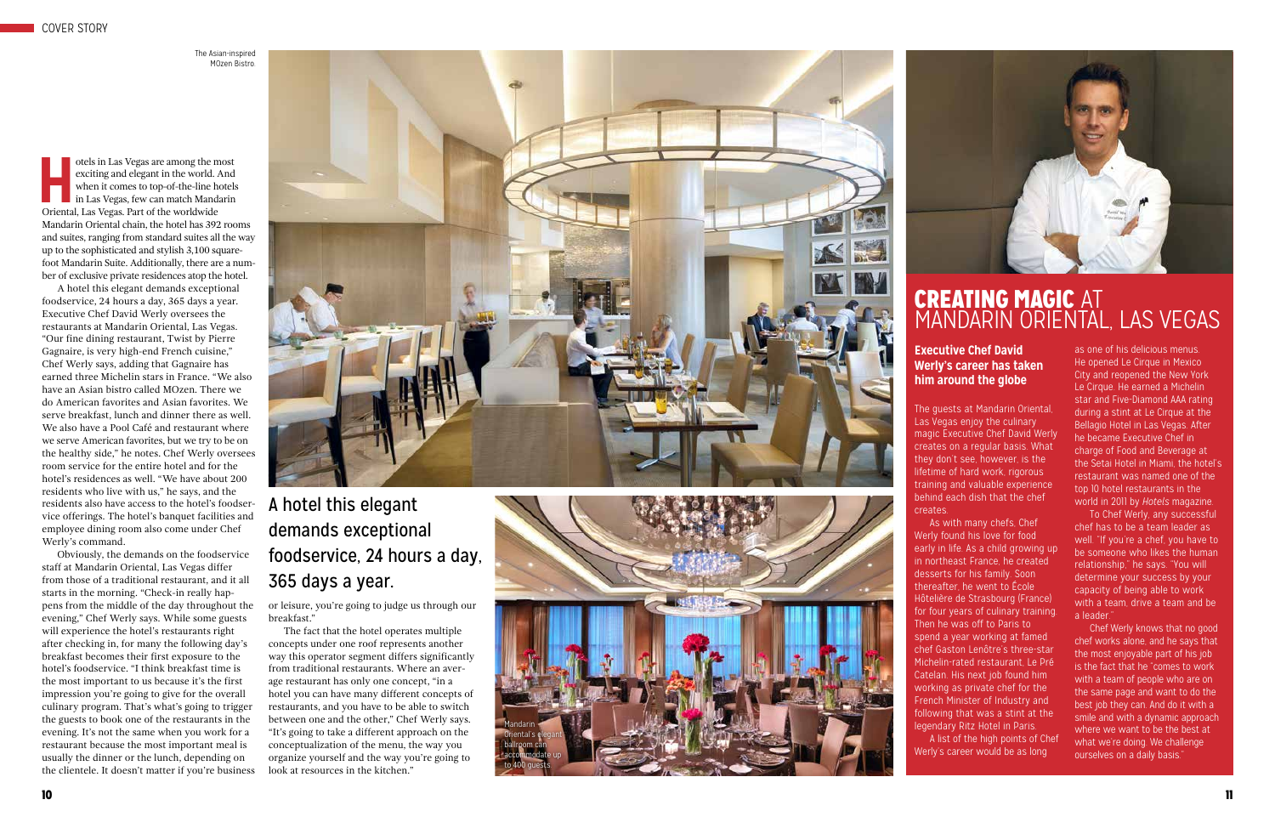

exciting and elegant in the world. And when it comes to top-of-the-line hotels in Las Vegas, few can match Mandarin Oriental, Las Vegas. Part of the worldwide Mandarin Oriental chain, the hotel has 392 rooms and suites, ranging from standard suites all the way up to the sophisticated and stylish 3,100 squarefoot Mandarin Suite. Additionally, there are a num ber of exclusive private residences atop the hotel.

A hotel this elegant demands exceptional foodservice, 24 hours a day, 365 days a year. Executive Chef David Werly oversees the restaurants at Mandarin Oriental, Las Vegas. "Our fine dining restaurant, Twist by Pierre Gagnaire, is very high-end French cuisine," Chef Werly says, adding that Gagnaire has earned three Michelin stars in France. "We also have an Asian bistro called MOzen. There we do American favorites and Asian favorites. We serve breakfast, lunch and dinner there as well. We also have a Pool Café and restaurant where we serve American favorites, but we try to be on the healthy side," he notes. Chef Werly oversees room service for the entire hotel and for the hotel's residences as well. "We have about 200 residents who live with us," he says, and the residents also have access to the hotel's foodser vice offerings. The hotel's banquet facilities and employee dining room also come under Chef Werly's command.

Obviously, the demands on the foodservice staff at Mandarin Oriental, Las Vegas differ from those of a traditional restaurant, and it all starts in the morning. "Check-in really hap pens from the middle of the day throughout the evening," Chef Werly says. While some guests will experience the hotel's restaurants right after checking in, for many the following day's breakfast becomes their first exposure to the hotel's foodservice. "I think breakfast time is the most important to us because it's the first impression you're going to give for the overall culinary program. That's what's going to trigger the guests to book one of the restaurants in the evening. It's not the same when you work for a restaurant because the most important meal is usually the dinner or the lunch, depending on the clientele. It doesn't matter if you're business

Chef Werly knows that no good chef works alone, and he says that the most enjoyable part of his job is the fact that he "comes to work with a team of people who are on the same page and want to do the best job they can. And do it with a smile and with a dynamic approach where we want to be the best at what we're doing. We challenge ourselves on a daily basis."

or leisure, you're going to judge us through our breakfast."

# CREATING MAGIC AT MANDARIN ORIENTAL, LAS VEGAS

The fact that the hotel operates multiple concepts under one roof represents another way this operator segment differs significantly from traditional restaurants. Where an aver age restaurant has only one concept, "in a hotel you can have many different concepts of restaurants, and you have to be able to switch between one and the other," Chef Werly says. "It's going to take a different approach on the conceptualization of the menu, the way you organize yourself and the way you're going to look at resources in the kitchen."

The guests at Mandarin Oriental, Las Vegas enjoy the culinary magic Executive Chef David Werly creates on a regular basis. What they don't see, however, is the lifetime of hard work, rigorous training and valuable experience behind each dish that the chef creates.

As with many chefs, Chef Werly found his love for food early in life. As a child growing up in northeast France, he created desserts for his family. Soon thereafter, he went to École Hôtelière de Strasbourg (France) for four years of culinary training. Then he was off to Paris to spend a year working at famed chef Gaston Lenôtre's three-star Michelin-rated restaurant, Le Pré Catelan. His next job found him working as private chef for the French Minister of Industry and following that was a stint at the legendary Ritz Hotel in Paris. A list of the high points of Chef Werly's career would be as long



as one of his delicious menus. He opened Le Cirque in Mexico City and reopened the New York Le Cirque. He earned a Michelin star and Five-Diamond AAA rating during a stint at Le Cirque at the Bellagio Hotel in Las Vegas. After he became Executive Chef in charge of Food and Beverage at the Setai Hotel in Miami, the hotel's restaurant was named one of the top 10 hotel restaurants in the world in 2011 by *Hotels* magazine.

To Chef Werly, any successful chef has to be a team leader as well. "If you're a chef, you have to be someone who likes the human relationship," he says. "You will determine your success by your capacity of being able to work with a team, drive a team and be a leader."

# A hotel this elegant demands exceptional foodservice, 24 hours a day, 365 days a year.

#### **Executive Chef David Werly's career has taken him around the globe**



The Asian-inspired MOzen Bistro.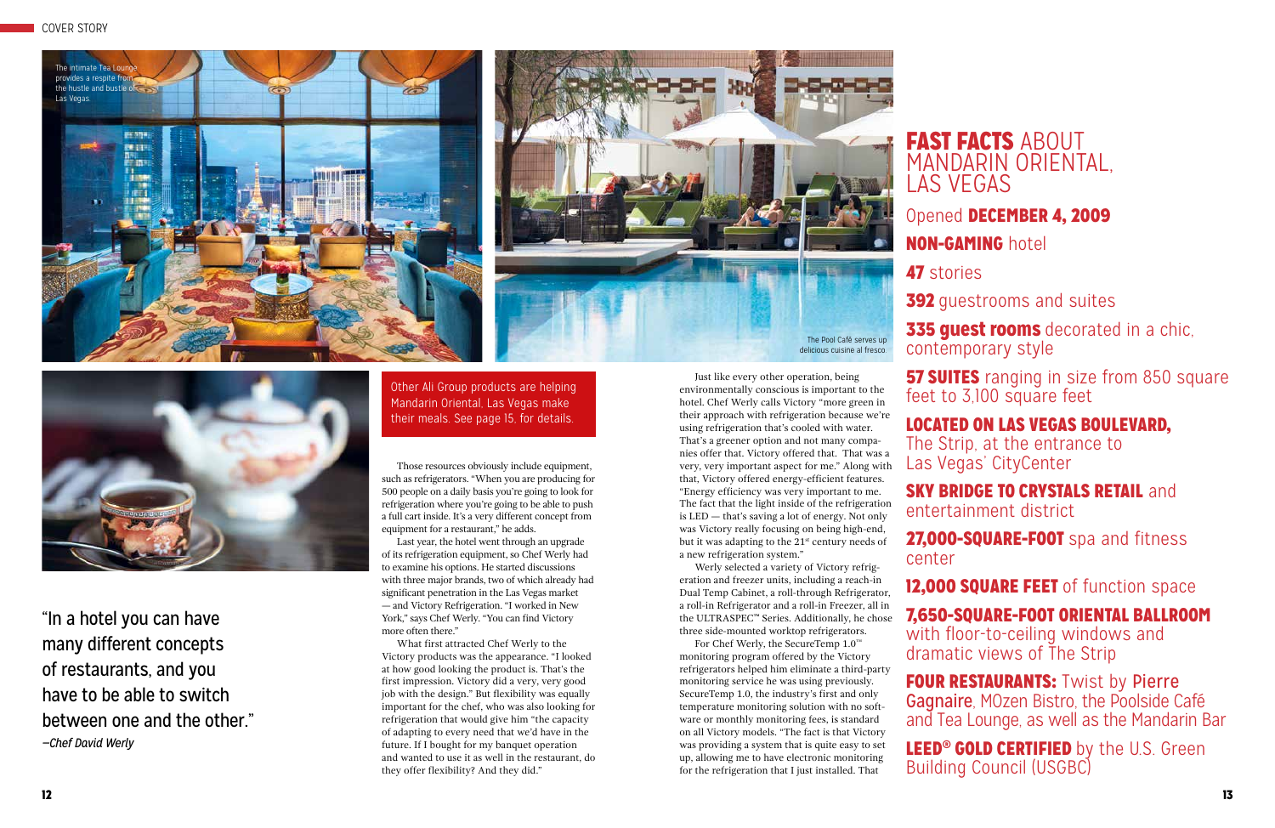Those resources obviously include equipment, such as refrigerators. "When you are producing for 500 people on a daily basis you're going to look for refrigeration where you're going to be able to push a full cart inside. It's a very different concept from equipment for a restaurant," he adds.

Last year, the hotel went through an upgrade of its refrigeration equipment, so Chef Werly had to examine his options. He started discussions with three major brands, two of which already had significant penetration in the Las Vegas market — and Victory Refrigeration. "I worked in New York," says Chef Werly. "You can find Victory more often there."

# FAST FACTS ABOUT MANDARIN ORIENTAL, LAS VEGAS

335 guest rooms decorated in a chic, contemporary style

**57 SUITES** ranging in size from 850 square feet to 3,100 square feet

SKY BRIDGE TO CRYSTALS RETAIL and entertainment district 27,000-SQUARE-FOOT spa and fitness center 12,000 SQUARE FEET of function space

What first attracted Chef Werly to the Victory products was the appearance. "I looked at how good looking the product is. That's the first impression. Victory did a very, very good job with the design." But flexibility was equally important for the chef, who was also looking for refrigeration that would give him "the capacity of adapting to every need that we'd have in the future. If I bought for my banquet operation and wanted to use it as well in the restaurant, do they offer flexibility? And they did."

FOUR RESTAURANTS: Twist by Pierre Gagnaire, MOzen Bistro, the Poolside Café and Tea Lounge, as well as the Mandarin Bar

LEED<sup>®</sup> GOLD CERTIFIED by the U.S. Green Building Council (USGBC)

## Opened DECEMBER 4, 2009

## NON-GAMING hotel

**392** guestrooms and suites

47 stories

LOCATED ON LAS VEGAS BOULEVARD, The Strip, at the entrance to Las Vegas' CityCenter

### 7,650-SQUARE-FOOT ORIENTAL BALLROOM with floor-to-ceiling windows and

dramatic views of The Strip

Just like every other operation, being environmentally conscious is important to the hotel. Chef Werly calls Victory "more green in their approach with refrigeration because we're using refrigeration that's cooled with water. That's a greener option and not many companies offer that. Victory offered that. That was a very, very important aspect for me." Along with that, Victory offered energy-efficient features. "Energy efficiency was very important to me. The fact that the light inside of the refrigeration is LED — that's saving a lot of energy. Not only was Victory really focusing on being high-end, but it was adapting to the 21st century needs of a new refrigeration system."

Werly selected a variety of Victory refrigeration and freezer units, including a reach-in Dual Temp Cabinet, a roll-through Refrigerator, a roll-in Refrigerator and a roll-in Freezer, all in the ULTRASPEC**™** Series. Additionally, he chose three side-mounted worktop refrigerators.

For Chef Werly, the SecureTemp 1.0™ monitoring program offered by the Victory refrigerators helped him eliminate a third-party monitoring service he was using previously. SecureTemp 1.0, the industry's first and only temperature monitoring solution with no software or monthly monitoring fees, is standard on all Victory models. "The fact is that Victory was providing a system that is quite easy to set up, allowing me to have electronic monitoring for the refrigeration that I just installed. That

"In a hotel you can have many different concepts of restaurants, and you have to be able to switch between one and the other." *—Chef David Werly*







Other Ali Group products are helping Mandarin Oriental, Las Vegas make their meals. See page 15, for details.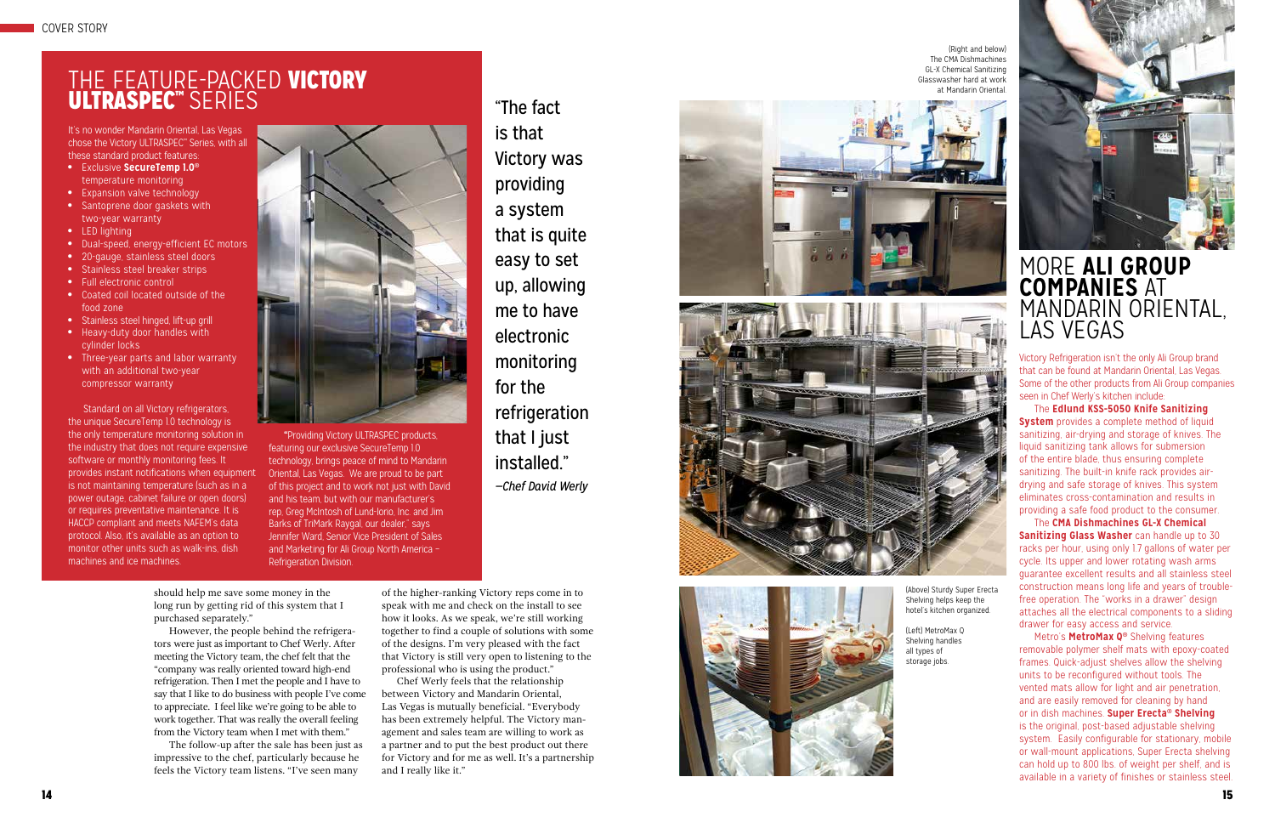It's no wonder Mandarin Oriental, Las Vegas chose the Victory ULTRASPEC<sup>™</sup> Series, with all these standard product features:

- Exclusive **SecureTemp 1.0®** temperature monitoring
- Expansion valve technology
- Santoprene door gaskets with two-year warranty
- LED lighting
- Dual-speed, energy-efficient EC motors
- 20-gauge, stainless steel doors
- Stainless steel breaker strips
- Full electronic control
- Coated coil located outside of the food zone
- Stainless steel hinged, lift-up grill
- Heavy-duty door handles with cylinder locks
- Three-year parts and labor warranty with an additional two-year compressor warranty

Standard on all Victory refrigerators, the unique SecureTemp 1.0 technology is the only temperature monitoring solution in the industry that does not require expensive software or monthly monitoring fees. It provides instant notifications when equipment is not maintaining temperature (such as in a power outage, cabinet failure or open doors) or requires preventative maintenance. It is HACCP compliant and meets NAFEM's data protocol. Also, it's available as an option to monitor other units such as walk-ins, dish machines and ice machines.



**"**Providing Victory ULTRASPEC products, featuring our exclusive SecureTemp 1.0 technology, brings peace of mind to Mandarin Oriental, Las Vegas. We are proud to be part of this project and to work not just with David and his team, but with our manufacturer's rep, Greg McIntosh of Lund-Iorio, Inc. and Jim Barks of TriMark Raygal, our dealer," says Jennifer Ward, Senior Vice President of Sales and Marketing for Ali Group North America – Refrigeration Division.

# THE FEATURE-PACKED VICTORY ULTRASPEC ™ SERIES

## MORE **ALI GROUP COMPANIES** AT MANDARIN ORIENTAL, LAS VEGAS

Victory Refrigeration isn't the only Ali Group brand that can be found at Mandarin Oriental, Las Vegas. Some of the other products from Ali Group companies seen in Chef Werly's kitchen include:

The **Edlund KSS-5050 Knife Sanitizing System** provides a complete method of liquid sanitizing, air-drying and storage of knives. The liquid sanitizing tank allows for submersion of the entire blade, thus ensuring complete sanitizing. The built-in knife rack provides airdrying and safe storage of knives. This system eliminates cross-contamination and results in providing a safe food product to the consumer.

The **CMA Dishmachines GL-X Chemical Sanitizing Glass Washer** can handle up to 30 racks per hour, using only 1.7 gallons of water per cycle. Its upper and lower rotating wash arms guarantee excellent results and all stainless steel construction means long life and years of troublefree operation. The "works in a drawer" design attaches all the electrical components to a sliding drawer for easy access and service.

Metro's **MetroMax Q ®** Shelving features removable polymer shelf mats with epoxy-coated frames. Quick-adjust shelves allow the shelving units to be reconfigured without tools. The vented mats allow for light and air penetration, and are easily removed for cleaning by hand or in dish machines. **Super Erecta ® Shelving** is the original, post-based adjustable shelving system. Easily configurable for stationary, mobile or wall-mount applications, Super Erecta shelving can hold up to 800 lbs. of weight per shelf, and is available in a variety of finishes or stainless steel.

should help me save some money in the long run by getting rid of this system that I purchased separately."

However, the people behind the refrigera tors were just as important to Chef Werly. After meeting the Victory team, the chef felt that the "company was really oriented toward high-end refrigeration. Then I met the people and I have to say that I like to do business with people I've come to appreciate. I feel like we're going to be able to work together. That was really the overall feeling from the Victory team when I met with them."

The follow-up after the sale has been just as impressive to the chef, particularly because he feels the Victory team listens. "I've seen many

"The fact is that Victory was providing a system that is quite easy to set up, allowing me to have electronic monitoring for the refrigeration that I just installed." *—Chef David Werly*



of the higher-ranking Victory reps come in to speak with me and check on the install to see how it looks. As we speak, we're still working together to find a couple of solutions with some of the designs. I'm very pleased with the fact that Victory is still very open to listening to the professional who is using the product."

Chef Werly feels that the relationship between Victory and Mandarin Oriental, Las Vegas is mutually beneficial. "Everybody has been extremely helpful. The Victory man agement and sales team are willing to work as a partner and to put the best product out there for Victory and for me as well. It's a partnership and I really like it."



(Right and below) The CMA Dishmachines GL-X Chemical Sanitizing Glasswasher hard at work at Mandarin Oriental.

(Above) Sturdy Super Erecta



Shelving helps keep the hotel's kitchen organized.

(Left) MetroMax Q Shelving handles all types of storage jobs.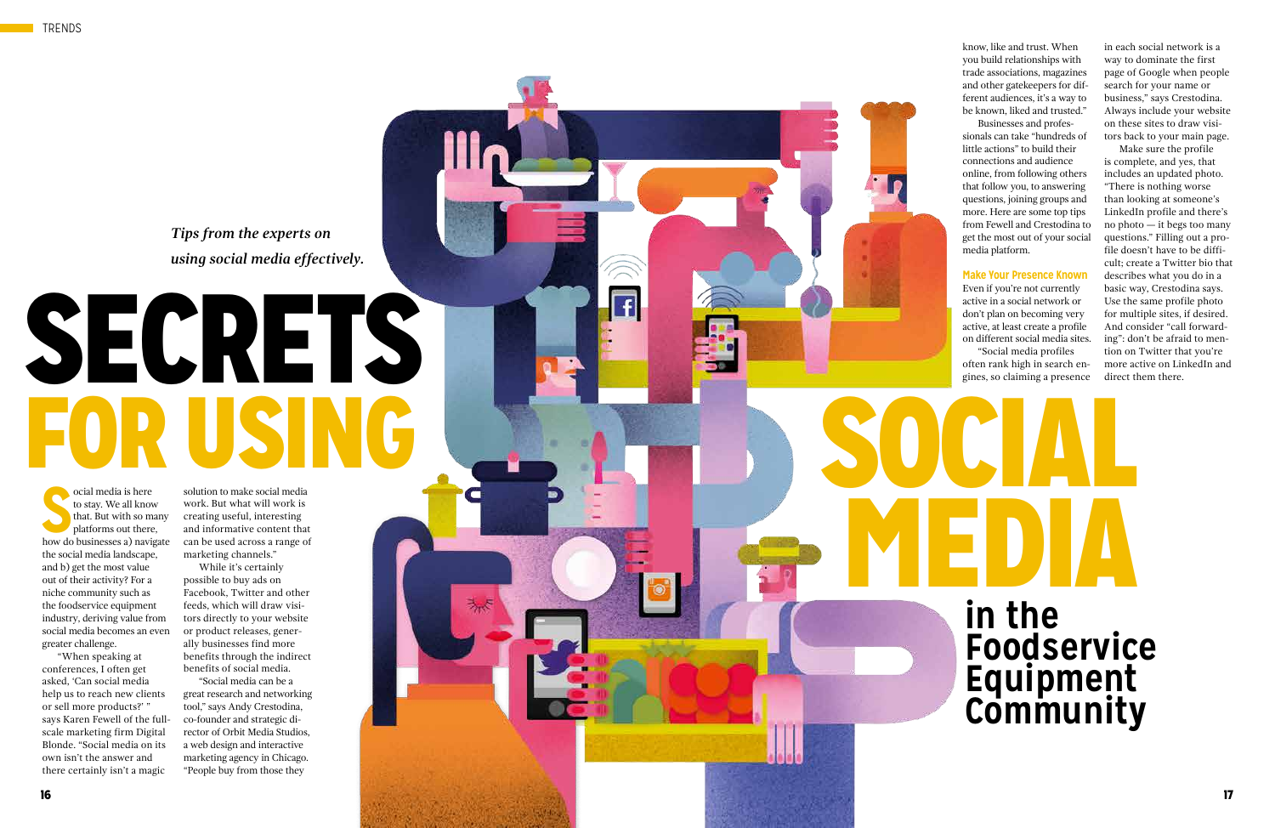# SECRETS FOR USING SERVER SOCIAL

*Tips from the experts on using social media effectively.*

 $\overline{f}$ 

**S** how do businesses a) navigate ocial media is here to stay. We all know that. But with so many platforms out there, the social media landscape, and b) get the most value out of their activity? For a niche community such as the foodservice equipment industry, deriving value from social media becomes an even greater challenge.

"When speaking at conferences, I often get asked, 'Can social media help us to reach new clients or sell more products?' " says Karen Fewell of the fullscale marketing firm Digital Blonde. "Social media on its own isn't the answer and there certainly isn't a magic

solution to make social media work. But what will work is creating useful, interesting and informative content that can be used across a range of marketing channels."

While it's certainly possible to buy ads on Facebook, Twitter and other feeds, which will draw visi tors directly to your website or product releases, gener ally businesses find more benefits through the indirect benefits of social media.

"Social media can be a great research and networking tool," says Andy Crestodina, co-founder and strategic di rector of Orbit Media Studios, a web design and interactive marketing agency in Chicago. "People buy from those they

know, like and trust. When you build relationships with trade associations, magazines and other gatekeepers for dif ferent audiences, it's a way to be known, liked and trusted."

Businesses and profes sionals can take "hundreds of little actions" to build their connections and audience online, from following others that follow you, to answering questions, joining groups and more. Here are some top tips from Fewell and Crestodina to get the most out of your social media platform.

#### **Make Your Presence Known**

Even if you're not currently active in a social network or don't plan on becoming very active, at least create a profile on different social media sites.

"Social media profiles often rank high in search en gines, so claiming a presence

in each social network is a way to dominate the first page of Google when people search for your name or business," says Crestodina. Always include your website on these sites to draw visi tors back to your main page.

Make sure the profile is complete, and yes, that includes an updated photo. "There is nothing worse than looking at someone's LinkedIn profile and there's no photo — it begs too many questions." Filling out a pro file doesn't have to be diffi cult; create a Twitter bio that describes what you do in a basic way, Crestodina says. Use the same profile photo for multiple sites, if desired. And consider "call forward ing": don't be afraid to men tion on Twitter that you're more active on LinkedIn and direct them there.

**in the** 

**Foodservice** 

**Equipment** 

**Community** 

**PINEDIA**